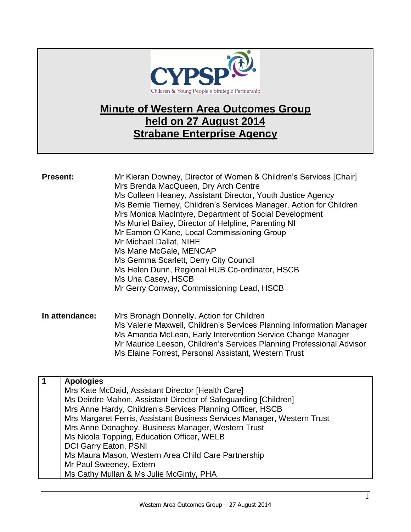

## **Minute of Western Area Outcomes Group held on 27 August 2014 Strabane Enterprise Agency**

| <b>Present:</b> |                              | Mr Kieran Downey, Director of Women & Children's Services [Chair]<br>Mrs Brenda MacQueen, Dry Arch Centre<br>Ms Colleen Heaney, Assistant Director, Youth Justice Agency<br>Ms Bernie Tierney, Children's Services Manager, Action for Children<br>Mrs Monica MacIntyre, Department of Social Development<br>Ms Muriel Bailey, Director of Helpline, Parenting NI<br>Mr Eamon O'Kane, Local Commissioning Group<br>Mr Michael Dallat, NIHE<br>Ms Marie McGale, MENCAP<br>Ms Gemma Scarlett, Derry City Council<br>Ms Helen Dunn, Regional HUB Co-ordinator, HSCB<br>Ms Una Casey, HSCB<br>Mr Gerry Conway, Commissioning Lead, HSCB |
|-----------------|------------------------------|-------------------------------------------------------------------------------------------------------------------------------------------------------------------------------------------------------------------------------------------------------------------------------------------------------------------------------------------------------------------------------------------------------------------------------------------------------------------------------------------------------------------------------------------------------------------------------------------------------------------------------------|
| In attendance:  |                              | Mrs Bronagh Donnelly, Action for Children<br>Ms Valerie Maxwell, Children's Services Planning Information Manager<br>Ms Amanda McLean, Early Intervention Service Change Manager<br>Mr Maurice Leeson, Children's Services Planning Professional Advisor<br>Ms Elaine Forrest, Personal Assistant, Western Trust                                                                                                                                                                                                                                                                                                                    |
| $\mathbf 1$     | <b>Apologies</b>             |                                                                                                                                                                                                                                                                                                                                                                                                                                                                                                                                                                                                                                     |
|                 |                              | Mrs Kate McDaid, Assistant Director [Health Care]<br>Ms Deirdre Mahon, Assistant Director of Safeguarding [Children]                                                                                                                                                                                                                                                                                                                                                                                                                                                                                                                |
|                 |                              | Mrs Anne Hardy, Children's Services Planning Officer, HSCB                                                                                                                                                                                                                                                                                                                                                                                                                                                                                                                                                                          |
|                 |                              | Mrs Margaret Ferris, Assistant Business Services Manager, Western Trust<br>Mrs Anne Donaghey, Business Manager, Western Trust                                                                                                                                                                                                                                                                                                                                                                                                                                                                                                       |
|                 |                              | Ms Nicola Topping, Education Officer, WELB                                                                                                                                                                                                                                                                                                                                                                                                                                                                                                                                                                                          |
|                 | <b>DCI Garry Eaton, PSNI</b> |                                                                                                                                                                                                                                                                                                                                                                                                                                                                                                                                                                                                                                     |
|                 |                              | Ms Maura Mason, Western Area Child Care Partnership                                                                                                                                                                                                                                                                                                                                                                                                                                                                                                                                                                                 |

Mr Paul Sweeney, Extern

Ms Cathy Mullan & Ms Julie McGinty, PHA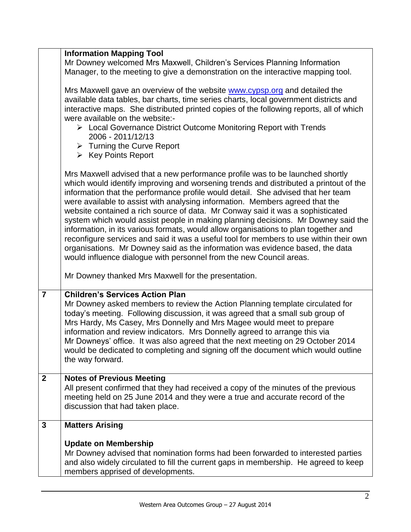|                | <b>Information Mapping Tool</b>                                                                                                                                                                                                                                                                                                                                                                                                                                                                                                                                                                                                                                                                                                                                                                                                                            |
|----------------|------------------------------------------------------------------------------------------------------------------------------------------------------------------------------------------------------------------------------------------------------------------------------------------------------------------------------------------------------------------------------------------------------------------------------------------------------------------------------------------------------------------------------------------------------------------------------------------------------------------------------------------------------------------------------------------------------------------------------------------------------------------------------------------------------------------------------------------------------------|
|                | Mr Downey welcomed Mrs Maxwell, Children's Services Planning Information<br>Manager, to the meeting to give a demonstration on the interactive mapping tool.                                                                                                                                                                                                                                                                                                                                                                                                                                                                                                                                                                                                                                                                                               |
|                |                                                                                                                                                                                                                                                                                                                                                                                                                                                                                                                                                                                                                                                                                                                                                                                                                                                            |
|                | Mrs Maxwell gave an overview of the website www.cypsp.org and detailed the<br>available data tables, bar charts, time series charts, local government districts and                                                                                                                                                                                                                                                                                                                                                                                                                                                                                                                                                                                                                                                                                        |
|                | interactive maps. She distributed printed copies of the following reports, all of which<br>were available on the website:-                                                                                                                                                                                                                                                                                                                                                                                                                                                                                                                                                                                                                                                                                                                                 |
|                | > Local Governance District Outcome Monitoring Report with Trends<br>2006 - 2011/12/13                                                                                                                                                                                                                                                                                                                                                                                                                                                                                                                                                                                                                                                                                                                                                                     |
|                | $\triangleright$ Turning the Curve Report<br>$\triangleright$ Key Points Report                                                                                                                                                                                                                                                                                                                                                                                                                                                                                                                                                                                                                                                                                                                                                                            |
|                |                                                                                                                                                                                                                                                                                                                                                                                                                                                                                                                                                                                                                                                                                                                                                                                                                                                            |
|                | Mrs Maxwell advised that a new performance profile was to be launched shortly<br>which would identify improving and worsening trends and distributed a printout of the<br>information that the performance profile would detail. She advised that her team<br>were available to assist with analysing information. Members agreed that the<br>website contained a rich source of data. Mr Conway said it was a sophisticated<br>system which would assist people in making planning decisions. Mr Downey said the<br>information, in its various formats, would allow organisations to plan together and<br>reconfigure services and said it was a useful tool for members to use within their own<br>organisations. Mr Downey said as the information was evidence based, the data<br>would influence dialogue with personnel from the new Council areas. |
|                | Mr Downey thanked Mrs Maxwell for the presentation.                                                                                                                                                                                                                                                                                                                                                                                                                                                                                                                                                                                                                                                                                                                                                                                                        |
| $\overline{7}$ | <b>Children's Services Action Plan</b><br>Mr Downey asked members to review the Action Planning template circulated for<br>today's meeting. Following discussion, it was agreed that a small sub group of<br>Mrs Hardy, Ms Casey, Mrs Donnelly and Mrs Magee would meet to prepare<br>information and review indicators. Mrs Donnelly agreed to arrange this via                                                                                                                                                                                                                                                                                                                                                                                                                                                                                           |
|                | Mr Downeys' office. It was also agreed that the next meeting on 29 October 2014<br>would be dedicated to completing and signing off the document which would outline<br>the way forward.                                                                                                                                                                                                                                                                                                                                                                                                                                                                                                                                                                                                                                                                   |
| $\overline{2}$ | <b>Notes of Previous Meeting</b><br>All present confirmed that they had received a copy of the minutes of the previous<br>meeting held on 25 June 2014 and they were a true and accurate record of the<br>discussion that had taken place.                                                                                                                                                                                                                                                                                                                                                                                                                                                                                                                                                                                                                 |
| 3              | <b>Matters Arising</b>                                                                                                                                                                                                                                                                                                                                                                                                                                                                                                                                                                                                                                                                                                                                                                                                                                     |
|                |                                                                                                                                                                                                                                                                                                                                                                                                                                                                                                                                                                                                                                                                                                                                                                                                                                                            |
|                | <b>Update on Membership</b><br>Mr Downey advised that nomination forms had been forwarded to interested parties<br>and also widely circulated to fill the current gaps in membership. He agreed to keep<br>members apprised of developments.                                                                                                                                                                                                                                                                                                                                                                                                                                                                                                                                                                                                               |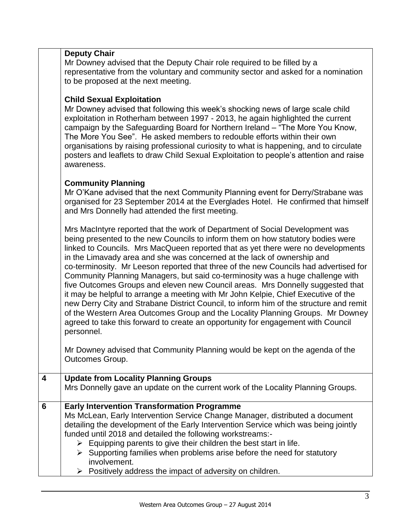|                         | <b>Deputy Chair</b><br>Mr Downey advised that the Deputy Chair role required to be filled by a<br>representative from the voluntary and community sector and asked for a nomination<br>to be proposed at the next meeting.<br><b>Child Sexual Exploitation</b><br>Mr Downey advised that following this week's shocking news of large scale child                                                                                                                                                                                                                                                                                                                                                                                                                                                                                                                                                                                                              |
|-------------------------|----------------------------------------------------------------------------------------------------------------------------------------------------------------------------------------------------------------------------------------------------------------------------------------------------------------------------------------------------------------------------------------------------------------------------------------------------------------------------------------------------------------------------------------------------------------------------------------------------------------------------------------------------------------------------------------------------------------------------------------------------------------------------------------------------------------------------------------------------------------------------------------------------------------------------------------------------------------|
|                         | exploitation in Rotherham between 1997 - 2013, he again highlighted the current<br>campaign by the Safeguarding Board for Northern Ireland - "The More You Know,<br>The More You See". He asked members to redouble efforts within their own<br>organisations by raising professional curiosity to what is happening, and to circulate<br>posters and leaflets to draw Child Sexual Exploitation to people's attention and raise<br>awareness.                                                                                                                                                                                                                                                                                                                                                                                                                                                                                                                 |
|                         | <b>Community Planning</b><br>Mr O'Kane advised that the next Community Planning event for Derry/Strabane was<br>organised for 23 September 2014 at the Everglades Hotel. He confirmed that himself<br>and Mrs Donnelly had attended the first meeting.                                                                                                                                                                                                                                                                                                                                                                                                                                                                                                                                                                                                                                                                                                         |
|                         | Mrs MacIntyre reported that the work of Department of Social Development was<br>being presented to the new Councils to inform them on how statutory bodies were<br>linked to Councils. Mrs MacQueen reported that as yet there were no developments<br>in the Limavady area and she was concerned at the lack of ownership and<br>co-terminosity. Mr Leeson reported that three of the new Councils had advertised for<br>Community Planning Managers, but said co-terminosity was a huge challenge with<br>five Outcomes Groups and eleven new Council areas. Mrs Donnelly suggested that<br>it may be helpful to arrange a meeting with Mr John Kelpie, Chief Executive of the<br>new Derry City and Strabane District Council, to inform him of the structure and remit<br>of the Western Area Outcomes Group and the Locality Planning Groups. Mr Downey<br>agreed to take this forward to create an opportunity for engagement with Council<br>personnel. |
|                         | Mr Downey advised that Community Planning would be kept on the agenda of the<br>Outcomes Group.                                                                                                                                                                                                                                                                                                                                                                                                                                                                                                                                                                                                                                                                                                                                                                                                                                                                |
| $\overline{\mathbf{4}}$ | <b>Update from Locality Planning Groups</b><br>Mrs Donnelly gave an update on the current work of the Locality Planning Groups.                                                                                                                                                                                                                                                                                                                                                                                                                                                                                                                                                                                                                                                                                                                                                                                                                                |
| 6                       | <b>Early Intervention Transformation Programme</b><br>Ms McLean, Early Intervention Service Change Manager, distributed a document<br>detailing the development of the Early Intervention Service which was being jointly<br>funded until 2018 and detailed the following workstreams:-<br>$\triangleright$ Equipping parents to give their children the best start in life.<br>$\triangleright$ Supporting families when problems arise before the need for statutory<br>involvement.<br>$\triangleright$ Positively address the impact of adversity on children.                                                                                                                                                                                                                                                                                                                                                                                             |
|                         |                                                                                                                                                                                                                                                                                                                                                                                                                                                                                                                                                                                                                                                                                                                                                                                                                                                                                                                                                                |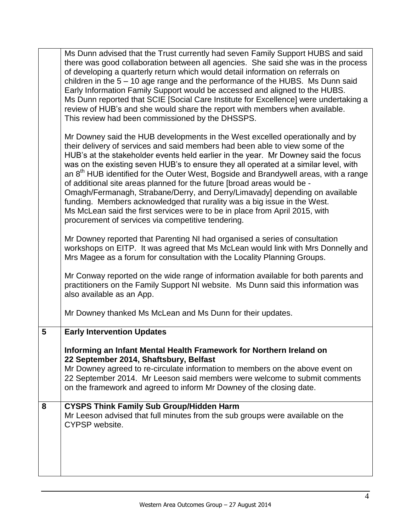|   | Ms Dunn advised that the Trust currently had seven Family Support HUBS and said<br>there was good collaboration between all agencies. She said she was in the process<br>of developing a quarterly return which would detail information on referrals on<br>children in the $5 - 10$ age range and the performance of the HUBS. Ms Dunn said<br>Early Information Family Support would be accessed and aligned to the HUBS.<br>Ms Dunn reported that SCIE [Social Care Institute for Excellence] were undertaking a<br>review of HUB's and she would share the report with members when available.<br>This review had been commissioned by the DHSSPS.                                                                                                                                                                      |
|---|-----------------------------------------------------------------------------------------------------------------------------------------------------------------------------------------------------------------------------------------------------------------------------------------------------------------------------------------------------------------------------------------------------------------------------------------------------------------------------------------------------------------------------------------------------------------------------------------------------------------------------------------------------------------------------------------------------------------------------------------------------------------------------------------------------------------------------|
|   | Mr Downey said the HUB developments in the West excelled operationally and by<br>their delivery of services and said members had been able to view some of the<br>HUB's at the stakeholder events held earlier in the year. Mr Downey said the focus<br>was on the existing seven HUB's to ensure they all operated at a similar level, with<br>an 8 <sup>th</sup> HUB identified for the Outer West, Bogside and Brandywell areas, with a range<br>of additional site areas planned for the future [broad areas would be -<br>Omagh/Fermanagh, Strabane/Derry, and Derry/Limavady] depending on available<br>funding. Members acknowledged that rurality was a big issue in the West.<br>Ms McLean said the first services were to be in place from April 2015, with<br>procurement of services via competitive tendering. |
|   | Mr Downey reported that Parenting NI had organised a series of consultation<br>workshops on EITP. It was agreed that Ms McLean would link with Mrs Donnelly and<br>Mrs Magee as a forum for consultation with the Locality Planning Groups.                                                                                                                                                                                                                                                                                                                                                                                                                                                                                                                                                                                 |
|   | Mr Conway reported on the wide range of information available for both parents and<br>practitioners on the Family Support NI website. Ms Dunn said this information was<br>also available as an App.                                                                                                                                                                                                                                                                                                                                                                                                                                                                                                                                                                                                                        |
|   | Mr Downey thanked Ms McLean and Ms Dunn for their updates.                                                                                                                                                                                                                                                                                                                                                                                                                                                                                                                                                                                                                                                                                                                                                                  |
| 5 | <b>Early Intervention Updates</b>                                                                                                                                                                                                                                                                                                                                                                                                                                                                                                                                                                                                                                                                                                                                                                                           |
|   | Informing an Infant Mental Health Framework for Northern Ireland on<br>22 September 2014, Shaftsbury, Belfast                                                                                                                                                                                                                                                                                                                                                                                                                                                                                                                                                                                                                                                                                                               |
|   | Mr Downey agreed to re-circulate information to members on the above event on<br>22 September 2014. Mr Leeson said members were welcome to submit comments<br>on the framework and agreed to inform Mr Downey of the closing date.                                                                                                                                                                                                                                                                                                                                                                                                                                                                                                                                                                                          |
| 8 | <b>CYSPS Think Family Sub Group/Hidden Harm</b><br>Mr Leeson advised that full minutes from the sub groups were available on the<br>CYPSP website.                                                                                                                                                                                                                                                                                                                                                                                                                                                                                                                                                                                                                                                                          |
|   |                                                                                                                                                                                                                                                                                                                                                                                                                                                                                                                                                                                                                                                                                                                                                                                                                             |